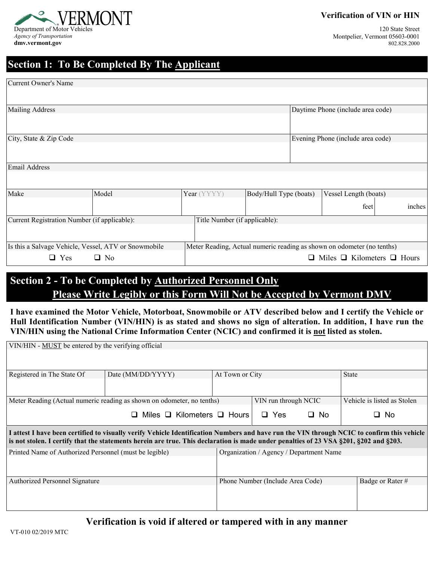

**Verification of VIN or HIN**

120 State Street Montpelier, Vermont 05603-0001 802.828.2000

#### **Section 1: To Be Completed By The Applicant**

| <b>Current Owner's Name</b>                          |           |                               |                                                                        |  |                                             |  |        |  |  |
|------------------------------------------------------|-----------|-------------------------------|------------------------------------------------------------------------|--|---------------------------------------------|--|--------|--|--|
|                                                      |           |                               |                                                                        |  |                                             |  |        |  |  |
| <b>Mailing Address</b>                               |           |                               |                                                                        |  | Daytime Phone (include area code)           |  |        |  |  |
| City, State & Zip Code                               |           |                               |                                                                        |  | Evening Phone (include area code)           |  |        |  |  |
| Email Address                                        |           |                               |                                                                        |  |                                             |  |        |  |  |
|                                                      |           |                               |                                                                        |  |                                             |  |        |  |  |
| Make                                                 | Model     | Year (YYYY)                   | Body/Hull Type (boats)                                                 |  | Vessel Length (boats)                       |  |        |  |  |
|                                                      |           |                               |                                                                        |  | feet                                        |  | inches |  |  |
| Current Registration Number (if applicable):         |           | Title Number (if applicable): |                                                                        |  |                                             |  |        |  |  |
|                                                      |           |                               |                                                                        |  |                                             |  |        |  |  |
| Is this a Salvage Vehicle, Vessel, ATV or Snowmobile |           |                               | Meter Reading, Actual numeric reading as shown on odometer (no tenths) |  |                                             |  |        |  |  |
| $\Box$ Yes                                           | $\Box$ No |                               |                                                                        |  | $\Box$ Miles $\Box$ Kilometers $\Box$ Hours |  |        |  |  |

# **Section 2 - To be Completed by Authorized Personnel Only Please Write Legibly or this Form Will Not be Accepted by Vermont DMV**

**I have examined the Motor Vehicle, Motorboat, Snowmobile or ATV described below and I certify the Vehicle or Hull Identification Number (VIN/HIN) is as stated and shows no sign of alteration. In addition, I have run the VIN/HIN using the National Crime Information Center (NCIC) and confirmed it is not listed as stolen.** 

| VIN/HIN - MUST be entered by the verifying official                                                                                                                                                                                                                                 |                                      |                 |                                         |                  |                             |  |  |  |  |  |  |
|-------------------------------------------------------------------------------------------------------------------------------------------------------------------------------------------------------------------------------------------------------------------------------------|--------------------------------------|-----------------|-----------------------------------------|------------------|-----------------------------|--|--|--|--|--|--|
|                                                                                                                                                                                                                                                                                     |                                      |                 |                                         |                  |                             |  |  |  |  |  |  |
|                                                                                                                                                                                                                                                                                     |                                      |                 |                                         |                  |                             |  |  |  |  |  |  |
| Registered in The State Of                                                                                                                                                                                                                                                          | Date (MM/DD/YYYY)                    | At Town or City |                                         |                  | <b>State</b>                |  |  |  |  |  |  |
|                                                                                                                                                                                                                                                                                     |                                      |                 |                                         |                  |                             |  |  |  |  |  |  |
| Meter Reading (Actual numeric reading as shown on odometer, no tenths)                                                                                                                                                                                                              |                                      |                 | VIN run through NCIC                    |                  | Vehicle is listed as Stolen |  |  |  |  |  |  |
|                                                                                                                                                                                                                                                                                     | Miles $\Box$ Kilometers $\Box$ Hours |                 | Yes<br>$\Box$                           | □ No             | □ No                        |  |  |  |  |  |  |
| I attest I have been certified to visually verify Vehicle Identification Numbers and have run the VIN through NCIC to confirm this vehicle<br>is not stolen. I certify that the statements herein are true. This declaration is made under penalties of 23 VSA §201, §202 and §203. |                                      |                 |                                         |                  |                             |  |  |  |  |  |  |
| Printed Name of Authorized Personnel (must be legible)                                                                                                                                                                                                                              |                                      |                 | Organization / Agency / Department Name |                  |                             |  |  |  |  |  |  |
|                                                                                                                                                                                                                                                                                     |                                      |                 |                                         |                  |                             |  |  |  |  |  |  |
| Authorized Personnel Signature                                                                                                                                                                                                                                                      |                                      |                 | Phone Number (Include Area Code)        | Badge or Rater # |                             |  |  |  |  |  |  |
|                                                                                                                                                                                                                                                                                     |                                      |                 |                                         |                  |                             |  |  |  |  |  |  |
|                                                                                                                                                                                                                                                                                     |                                      |                 |                                         |                  |                             |  |  |  |  |  |  |

#### **Verification is void if altered or tampered with in any manner**